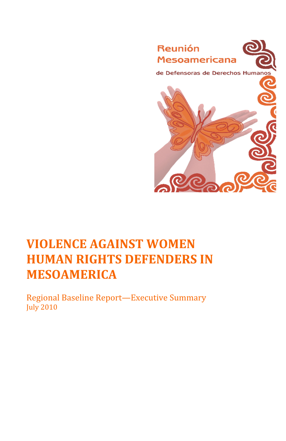

# **VIOLENCE
AGAINST
WOMEN HUMAN
RIGHTS
DEFENDERS
IN MESOAMERICA**

Regional
Baseline
Report—Executive
Summary July
2010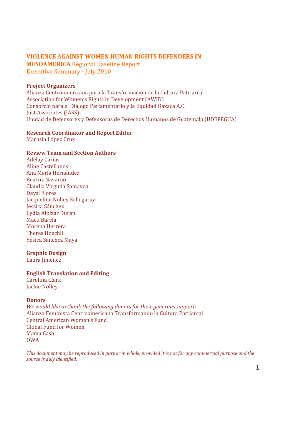#### **VIOLENCE AGAINST WOMEN HUMAN RIGHTS DEFENDERS IN**

**MESOAMERICA** Regional Baseline Report Executive Summary - July 2010

#### **Project
Organizers**

Alianza
Centroamericana
para
la
Transformación
de
la
Cultura
Patriarcal Association
for
Women's
Rights
in
Development
(AWID) Consorcio para el Diálogo Parlamentario y la Equidad Oaxaca A.C. Just
Associates
(JASS) Unidad de Defensores y Defensoras de Derechos Humanos de Guatemala (UDEFEGUA)

#### **Research
Coordinator
and
Report
Editor**

Marusia
López
Cruz

#### **Review
Team
and
Section
Authors**

Adelay
Carías Aline
Castellanos Ana
María
Hernández Beatriz
Navarijo Claudia
Virginia
Samayoa Daysi
Flores Jacqueline
Nolley
Echegaray Jessica
Sánchez Lydia
Alpízar
Durán Macu
Barcía Morena
Herrera Theres
Hoechli Yésica
Sánchez
Maya

#### **Graphic
Design**

Laura
Jiménez

#### **English
Translation
and
Editing**

Carolina
Clark Jackie
Nolley

#### **Donors**

We would like to thank the following donors for their generous support: Alianza
Feminista
Centroamericana
Transformando
la
Cultura
Patriarcal Central
American
Women's
Fund Global
Fund
for
Women Mama
Cash OWA

This document may be reproduced in part or in whole, provided it is not for any commercial purpose and the *source
is
duly
identified.*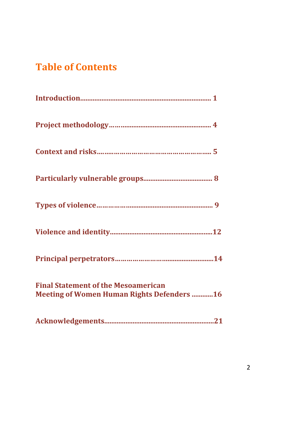# **Table
of
Contents**

| <b>Final Statement of the Mesoamerican</b><br><b>Meeting of Women Human Rights Defenders 16</b> |
|-------------------------------------------------------------------------------------------------|
|                                                                                                 |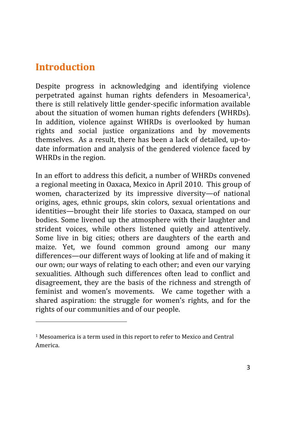### **Introduction**

Despite progress in acknowledging and identifying violence perpetrated against human rights defenders in Mesoamerica<sup>1</sup>, there
is
still
relatively
little
gender‐specific
information
available about
 the
situation
of
women
human
rights
defenders
(WHRDs). In addition, violence against WHRDs is overlooked by human rights and social justice organizations and by movements themselves. As a result, there has been a lack of detailed, up-todate information and analysis of the gendered violence faced by WHRDs in the region.

In an effort to address this deficit, a number of WHRDs convened a regional meeting in Oaxaca, Mexico in April 2010. This group of women, characterized by its impressive diversity-of national origins,
 ages,
 ethnic
 groups,
 skin
 colors,
 sexual
 orientations
 and identities—brought their life stories to Oaxaca, stamped on our bodies. Some livened up the atmosphere with their laughter and strident voices, while others listened quietly and attentively. Some live in big cities; others are daughters of the earth and maize. Yet, we found common ground among our many differences—our different ways of looking at life and of making it our
own;
our
ways
of
relating
to
each
other;
and
even
our
varying sexualities. Although such differences often lead to conflict and disagreement, they are the basis of the richness and strength of feminist and women's movements. We came together with a shared aspiration: the struggle for women's rights, and for the rights
of
our
communities
and
of
our
people.

<u> 1989 - Jan Samuel Barbara, politik eta politikaria (h. 1989).</u>

<sup>&</sup>lt;sup>1</sup> Mesoamerica is a term used in this report to refer to Mexico and Central America.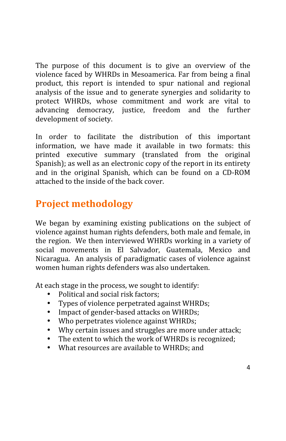The purpose of this document is to give an overview of the violence
 faced
by WHRDs in
Mesoamerica.
Far
 from
being
a
final product, this
 report
 is
 intended
 to
 spur
 national
 and
 regional analysis
of
 the
issue
 and
 to generate
 synergies and solidarity
 to protect WHRDs, whose commitment and work are vital to advancing
 democracy,
 justice,
 freedom
 and
 the further development
of
society.

In order to facilitate the distribution of this important information,
 we have
 made
 it
 available
 in
 two
 formats: this printed executive
 summary
 (translated
 from
 the
 original Spanish); as well as an electronic copy of the report in its entirety and
 in
 the
 original
 Spanish,
 which
 can
 be
 found
 on
 a
 CD‐ROM attached to the inside of the back cover.

## **Project
methodology**

We began by examining existing publications on the subject of violence
against
human
rights
defenders,
both
male
and
female,
in the region. We then interviewed WHRDs working in a variety of social
 movements
 in
 El
 Salvador,
 Guatemala,
 Mexico
 and Nicaragua. An analysis of paradigmatic cases of violence against women
human
rights
defenders
was
also
undertaken.

At
each
stage
in
the
process,
we
sought
to
identify:

- Political and social risk factors:
- Types
of
violence perpetrated
against
WHRDs;
- Impact of gender-based attacks on WHRDs;
- Who perpetrates violence against WHRDs;
- Why certain issues and struggles are more under attack;
- The extent to which the work of WHRDs is recognized;
- What resources are available to WHRDs; and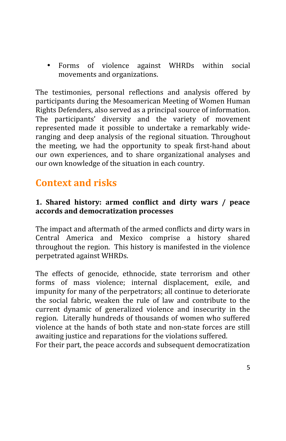• Forms
 of
 violence
 against
 WHRDs within
 social movements
and
organizations.

The testimonies, personal reflections and analysis offered by participants
during
the
Mesoamerican
Meeting
of
Women
Human Rights
Defenders,
also
served
as
a
principal
source
of
information. The participants'
 diversity
 and
 the
 variety
 of movement represented made it possible to undertake a remarkably wideranging and deep analysis of the regional situation. Throughout the
 meeting,
 we
 had
 the
 opportunity
 to
 speak
 first‐hand
 about our
 own
 experiences,
 and
 to
 share organizational analyses
 and our
own
knowledge
of
the
situation
in
each
country.

## **Context
and
risks**

### **1. Shared
 history:
 armed
 conflict
 and
 dirty
 wars
 /
 peace accords
and
democratization
processes**

The
impact
and
aftermath
of
the
armed
conflicts
and
dirty
wars
in Central America and Mexico comprise a history shared throughout
the
region.

This
history
is
manifested
in
the
violence perpetrated
against
WHRDs.

The
 effects
 of
 genocide,
 ethnocide, state
 terrorism
 and
 other forms of mass violence; internal displacement, exile, and impunity
for
many
of
the
perpetrators;
all
continue
to
deteriorate the
 social
 fabric,
 weaken the
 rule
 of
 law
 and
 contribute
 to
 the current
 dynamic
 of generalized violence
 and
 insecurity
 in
 the region.

Literally
hundreds
of
 thousands
of
women
who
suffered violence at the hands of both state and non-state forces are still awaiting justice and reparations for the violations suffered.

For their part, the peace accords and subsequent democratization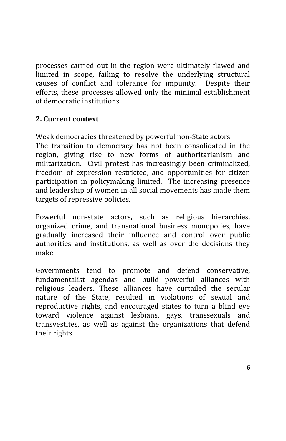processes carried
 out
 in
 the region
 were ultimately
 flawed
 and limited in scope, failing to resolve the underlying structural causes of
 conflict
 and tolerance
 for
 impunity. Despite
 their efforts,
 these
 processes
allowed
 only
the
minimal
 establishment of
democratic
institutions.

### **2.
Current
context**

Weak
democracies
threatened
by
powerful
non‐State
actors

The transition to democracy has not been consolidated in the region, giving rise to new forms of authoritarianism and militarization. Civil protest has increasingly been criminalized, freedom of expression restricted, and opportunities for citizen participation
 in policymaking
 limited. The
 increasing
 presence and
leadership
of
women
in
all
social
movements
has
made
them targets
of
repressive
policies.

Powerful non-state actors, such as religious hierarchies, organized
 crime,
 and
 transnational
 business
 monopolies,
 have gradually
 increased
 their
 influence
 and
 control
 over public authorities and institutions, as well as over the decisions they make.

Governments tend to promote and defend conservative, fundamentalist agendas and build powerful alliances with religious leaders.
 These
 alliances have curtailed
 the
 secular nature of the State, resulted in violations of sexual and reproductive rights, and encouraged states to turn a blind eye toward violence
 against
 lesbians, gays,
 transsexuals
 and transvestites,
 as
 well
 as
 against
 the
 organizations
 that
 defend their
rights.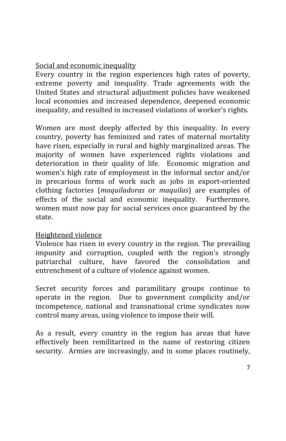### Social
and
economic
inequality

Every country in the region experiences high rates of poverty, extreme
 poverty
 and
 inequality.
 Trade
 agreements
 with
 the United
States
and
 structural
adjustment
 policies
 have
weakened local
 economies
 and
 increased
 dependence,
 deepened
 economic inequality, and resulted in increased violations of worker's rights.

Women are most deeply affected by this inequality. In every country, poverty
 has
 feminized
 and
 rates
 of
 maternal
 mortality have risen, especially in rural and highly marginalized areas. The majority
 of
 women
 have
 experienced
 rights
 violations
 and deterioration in their quality of life. Economic migration and women's
high
rate
of
employment
in
 the
informal
sector
and/or in precarious forms of work such as jobs in export-oriented clothing
 factories
 (*maquiladoras* or *maquilas*)
 are
 examples
 of effects of the social and economic inequality. Furthermore, women must now pay for social services once guaranteed by the state.

### Heightened
violence

Violence
has
risen
in
every
country
in
 the
region.
The
prevailing impunity
 and
 corruption, coupled
 with
 the
 region's strongly patriarchal
 culture,
 have favored
 the
 consolidation and entrenchment
of
a
culture
of
violence
against
women.

Secret security forces and paramilitary groups continue to operate
 in
 the
 region.
 Due
 to government
 complicity
 and/or incompetence,
 national
 and
 transnational
 crime syndicates
 now control
many
areas,
using
violence
to
impose
their
will.

As a result, every country in the region has areas that have effectively
 been
 remilitarized
 in
 the
 name
 of
 restoring
 citizen security. Armies are increasingly, and in some places routinely,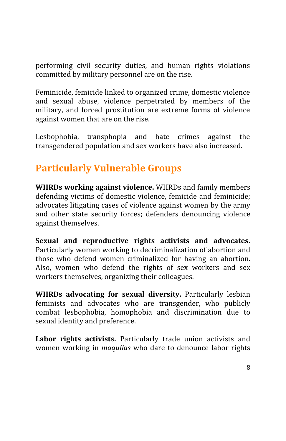performing
 civil security duties,
 and human
 rights
 violations committed
by
military
personnel
are
on
the
rise.

Feminicide, femicide linked to organized crime, domestic violence and
 sexual
 abuse, violence
 perpetrated
 by
 members
 of
 the military,
 and
 forced
 prostitution
 are
 extreme
 forms
 of
 violence against
women
that
are
on
the
rise.

Lesbophobia, transphopia and hate crimes against the transgendered
population
and
sex
workers
have
also
increased.

## **Particularly
Vulnerable
Groups**

WHRDs working against violence. WHRDs and family members defending victims of domestic violence, femicide and feminicide; advocates
litigating
cases
of
violence
against
women
by
the
army and
 other state
 security
 forces;
 defenders
 denouncing
 violence against
themselves.

Sexual and reproductive rights activists and advocates. Particularly women working to decriminalization of abortion and those
 who
 defend
 women
 criminalized
 for
 having
 an
 abortion. Also, women
 who
 defend
 the
 rights
 of
 sex
 workers
 and sex workers
themselves,
organizing
their
colleagues.

WHRDs advocating for sexual diversity. Particularly lesbian feminists and advocates who are transgender, who publicly combat
 lesbophobia,
 homophobia
 and
 discrimination
 due
 to sexual
identity
and
preference.

Labor rights activists. Particularly trade union activists and women working in *maquilas* who dare to denounce labor rights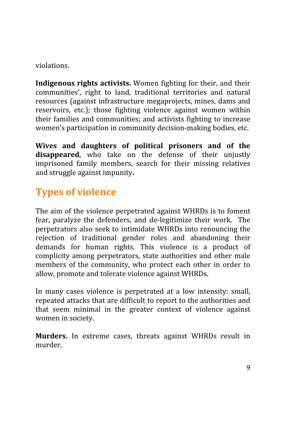violations.

Indigenous rights activists. Women fighting for their, and their communities',
 right
 to land, traditional territories
 and
 natural resources
(against
infrastructure
megaprojects,
mines,
dams
and reservoirs,
 etc.); those fighting
 violence
 against
 women
 within their
 families
and
communities; and
activists
 fighting
to
increase women's
participation
in
community
decision‐making
bodies,
etc.

Wives and daughters of political prisoners and of the disappeared, who take on the defense of their unjustly imprisoned
 family
 members,
 search
 for
 their
 missing
 relatives and
struggle
against
impunity**.** 

## **Types
of
violence**

The aim of the violence perpetrated against WHRDs is to foment fear, paralyze the defenders, and de-legitimize their work. The perpetrators
also
seek
 to
intimidate
WHRDs
into
renouncing
 the rejection
 of traditional
 gender
 roles
 and abandoning
 their demands for human rights. This violence is a product of complicity
among
 perpetrators,
 state
authorities
and
 other
male members of the community, who protect each other in order to allow,
promote
and
tolerate
violence
against
WHRDs.

In many cases violence is perpetrated at a low intensity: small, repeated
attacks
that
are
difficult
to
report
to
the
authorities
and that
 seem
 minimal
 in
 the
 greater
 context
 of violence
 against women
in
society.

**Murders.** In extreme cases, threats against WHRDs result in murder.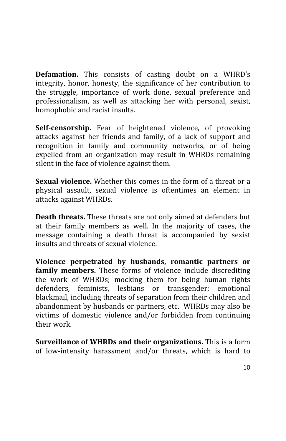**Defamation.** This consists of casting doubt on a WHRD's integrity,
 honor,
 honesty,
the
 significance of her contribution
 to the
 struggle,
 importance
 of
 work
 done,
 sexual
 preference
 and professionalism,
 as
 well
 as attacking
 her
 with
 personal,
 sexist, homophobic
and
racist
insults.

**Self-censorship.** Fear of heightened violence, of provoking attacks
 against
 her friends
 and
 family,
 of
 a
 lack
 of
 support
 and recognition in family and community networks, or of being expelled from an organization may result in WHRDs remaining silent in the face of violence against them.

**Sexual violence.** Whether this comes in the form of a threat or a physical assault, sexual violence is oftentimes an element in attacks
against
WHRDs.

**Death threats.** These threats are not only aimed at defenders but at
 their
 family
 members
 as
 well.
 In
 the
 majority
 of
 cases,
 the message
 containing
 a
 death
 threat
 is
 accompanied
 by
 sexist insults
and
threats
of
sexual
violence.

**Violence
 perpetrated
 by husbands,
 romantic
 partners
 or family members.** These forms of violence include discrediting the
 work
 of
 WHRDs; mocking
 them
 for
 being human
 rights defenders, feminists, lesbians or transgender; emotional blackmail,
including
threats
of
separation
from
their
children
and abandonment
by
husbands
or
partners,
etc.

WHRDs
may
also
be victims
 of
 domestic
 violence
 and/or
 forbidden
 from
 continuing their
work.

**Surveillance of WHRDs and their organizations. This is a form** of
 low‐intensity
 harassment and/or
 threats,
 which
 is
 hard
 to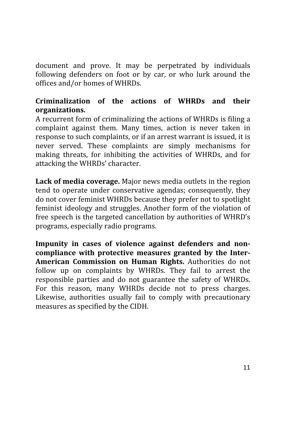document
 and
 prove.
 It
 may
 be
 perpetrated
 by
 individuals following defenders on foot or by car, or who lurk around the offices
and/or
homes
of
WHRDs.

### **Criminalization of
 the
 actions
 of
 WHRDs
 and
 their organizations.**

A recurrent form of criminalizing the actions of WHRDs is filing a complaint against them. Many times, action is never taken in response to such complaints, or if an arrest warrant is issued, it is never
 served.
 These complaints are
 simply
 mechanisms
 for making
 threats, for inhibiting the
 activities
 of
 WHRDs, and
 for attacking
the
WHRDs'
character.

Lack of media coverage. Major news media outlets in the region tend to operate under conservative agendas; consequently, they do
not
cover
feminist
WHRDs because
they
prefer
not
to
spotlight feminist ideology and struggles. Another form of the violation of free speech is the targeted cancellation by authorities of WHRD's programs,
especially
radio
programs.

Impunity in cases of violence against defenders and non**compliance
 with
 protective
 measures granted
 by
 the
 Inter-**American Commission on Human Rights. Authorities do not follow up on complaints by WHRDs. They fail to arrest the responsible
 parties
 and
 do not
 guarantee
 the
 safety
 of WHRDs. For this reason, many WHRDs decide not to press charges. Likewise, authorities usually fail to comply with precautionary measures
as
specified
by
the
CIDH.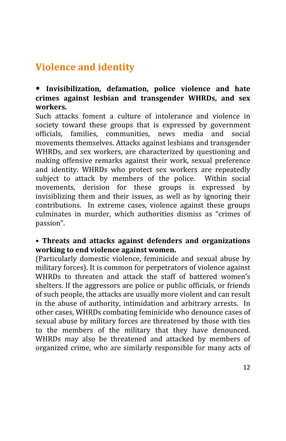## **Violence
and
identity**

### **•** Invisibilization, defamation, police violence and hate **crimes
 against
 lesbian
 and
 transgender
 WHRDs,
 and
 sex workers.**

Such attacks foment a culture of intolerance and violence in society
 toward
 these
 groups
 that
 is
 expressed
 by
 government officials,
 families,
 communities,
 news
 media
 and
 social movements
themselves.
Attacks
against
lesbians
and
transgender WHRDs, and sex workers, are characterized by questioning and making offensive remarks against their work, sexual preference and
 identity. WHRDs
 who
 protect sex
 workers
 are
 repeatedly subject to attack by members of the police. Within social movements, derision
 for
 these
 groups
 is
 expressed
 by invisiblizing
 them
 and
 their
 issues,
 as
 well
 as
 by ignoring
 their contributions.

 In
 extreme
 cases,
 violence against
 these
 groups culminates
 in
 murder,
 which
 authorities
 dismiss
 as "crimes
 of passion".

### • Threats and attacks against defenders and organizations **working
to
end
violence
against
women.**

(Particularly domestic violence, feminicide and sexual abuse by military
forces).
It
is
common
for
perpetrators
of
violence
against WHRDs to threaten and attack the staff of battered women's shelters. If the aggressors are police or public officials, or friends of
such
people,
the
attacks
are
usually
more
violent
and
can
result in
 the
 abuse
 of
 authority,
intimidation
 and arbitrary
 arrests.

In other
cases,
WHRDs
combating
feminicide
who
denounce
cases
of sexual
abuse
by
military
forces
are
threatened
by
those
with
ties to the members of the military that they have denounced. WHRDs may also be threatened and attacked by members of organized
 crime,
who
 are
 similarly
 responsible
 for
many
 acts
 of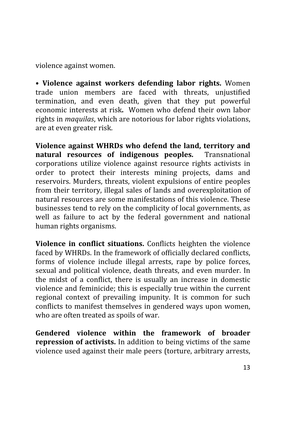violence
against
women.

• Violence against workers defending labor rights. Women trade
 union
 members
 are
 faced
 with
 threats,
 unjustified termination,
 and
 even
 death,
 given
 that
 they
 put
 powerful economic interests at risk. Women who defend their own labor rights
in *maquilas*,
which
are
notorious
for
labor
rights
violations, are
at
even
greater
risk.

Violence against WHRDs who defend the land, territory and natural resources of indigenous peoples. Transnational corporations utilize violence against resource rights activists in order
 to
 protect
 their
 interests mining
 projects,
 dams
 and reservoirs.
Murders,
 threats,
violent
expulsions
of
entire
peoples from
 their
 territory,
illegal
sales
of
lands
and
overexploitation
of natural
resources
are
some
manifestations
of
this
violence.
These businesses
tend
to
rely
on
the
complicity
of
local
governments,
as well as failure to act by the federal government and national human
rights
organisms.

**Violence in conflict situations.** Conflicts heighten the violence faced by WHRDs. In the framework of officially declared conflicts, forms of violence include illegal arrests, rape by police forces, sexual and political violence, death threats, and even murder. In the
 midst
 of
 a
 conflict,
 there
 is
 usually
 an
 increase
 in
 domestic violence
and
feminicide;
this
is
especially
true
within
the
current regional context of prevailing impunity. It is common for such conflicts
 to
manifest
 themselves
in
gendered
ways
upon
women, who are often treated as spoils of war.

**Gendered
 violence within
 the
 framework
 of
 broader repression of activists.** In addition to being victims of the same violence
used
against
their
male
peers
(torture,
arbitrary
arrests,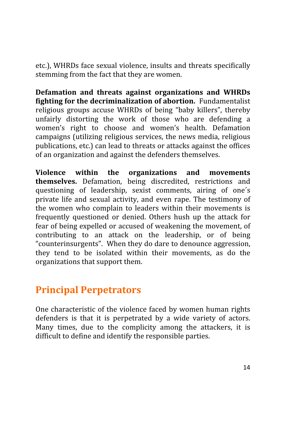etc.),
WHRDs
face
sexual
violence,
insults
and
threats
specifically stemming
from
the
fact
that
they
are
women.

**Defamation
 and
 threats
 against
 organizations
 and WHRDs fighting for the decriminalization of abortion.** Fundamentalist religious groups accuse WHRDs of being "baby killers", thereby unfairly distorting the work of those who are defending a women's right to choose and women's health. Defamation campaigns
(utilizing
religious
services,
the
news
media,
religious publications,
etc.)
can
lead
to
threats
or
attacks
against
the
offices of
an
organization
and
against
the
defenders
themselves.

**Violence
 within
 the
 organizations
 and
 movements themselves.**  Defamation,
 being
 discredited,
 restrictions
 and questioning
 of
 leadership,
 sexist
 comments,
 airing
 of
 one´s private
life
 and
 sexual
 activity,
 and
 even
 rape.
 The
 testimony
 of the
 women
 who
 complain
 to
 leaders
 within
 their
 movements is frequently
 questioned
 or
 denied.
 Others
 hush
 up
 the
 attack
 for fear of being expelled or accused of weakening the movement, of contributing
 to
 an
 attack
 on
 the
 leadership,
 or
 of
 being "counterinsurgents". When they do dare to denounce aggression. they tend to be isolated within their movements, as do the organizations
that
support
them.

## **Principal
Perpetrators**

One
characteristic
of
 the
violence
 faced
by
women
human
rights defenders is that it is perpetrated by a wide variety of actors. Many times, due to the complicity among the attackers, it is difficult to define and identify the responsible parties.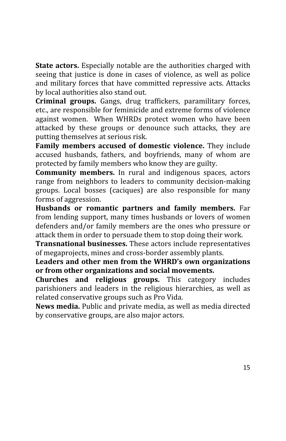**State actors.** Especially notable are the authorities charged with seeing that justice is done in cases of violence, as well as police and
military
 forces
 that
have
committed
 repressive
acts.
Attacks by
local
authorities
also
stand
out.

Criminal groups. Gangs, drug traffickers, paramilitary forces, etc.,
are
responsible
for
feminicide
and
extreme
forms
of
violence against
 women.

 When WHRDs protect
 women
 who
 have
 been attacked
 by
 these
 groups
 or
 denounce
 such
 attacks,
 they
 are putting
themselves
at
serious
risk.

Family members accused of domestic violence. They include accused
 husbands,
 fathers,
 and
 boyfriends,
 many
 of
 whom
 are protected
by
family
members
who
know
they
are
guilty.

**Community members.** In rural and indigenous spaces, actors range from neighbors to leaders to community decision-making groups.
 Local
 bosses
 (caciques)
 are
 also
 responsible
 for
 many forms
of
aggression.

**Husbands or romantic partners and family members.** Far from lending support, many times husbands or lovers of women defenders
and/or
 family
members
are
 the
ones
who
pressure
or attack
them
in
order
to
persuade
them
to
stop
doing
their
work.

**Transnational businesses.** These actors include representatives of
megaprojects,
mines
and
cross‐border
assembly
plants.

**Leaders
and
other
men
 from
the
WHRD's
own
organizations or
from
other
organizations
and
social
movements.** 

**Churches
 and
 religious
 groups.** This
 category
 includes parishioners
 and
 leaders in
 the
 religious
 hierarchies,
 as
 well
 as related
conservative
groups
such
as
Pro
Vida.

News media. Public and private media, as well as media directed by
conservative
groups,
are
also
major
actors.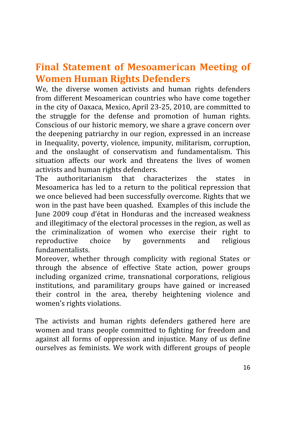## **Final
 Statement
 of Mesoamerican Meeting
 of Women
Human
Rights
Defenders**

We, the diverse women activists and human rights defenders from
different
Mesoamerican
countries
who
have
come
 together in
the
city
of
Oaxaca,
Mexico,
April
23‐25,
2010,
are
committed
to the
 struggle
 for
 the
 defense
 and
 promotion
 of
 human
 rights. Conscious
of
our
historic
memory,
we
share
a
grave
concern
over the
deepening
patriarchy
in
our
region,
expressed
in
an
increase in
 Inequality,
poverty,
violence,
impunity,
militarism,
corruption, and
 the
 onslaught
 of
 conservatism
 and
 fundamentalism.
 This situation affects our work and threatens the lives of women activists
and
human
rights
defenders.

The
 authoritarianism
 that
 characterizes
 the
 states
 in Mesoamerica has led to a return to the political repression that we
once
believed
had
been
successfully
overcome.
Rights
that
we won
in
the
past
have
been
quashed.

Examples
of
this
include
the Iune 2009 coup d'état in Honduras and the increased weakness and illegitimacy of the electoral processes in the region, as well as the
 criminalization
 of
 women
 who
 exercise
 their
 right
 to reproductive
 choice
 by
 governments
 and
 religious fundamentalists.

Moreover, whether through complicity with regional States or through
 the
 absence
 of
 effective
 State
 action,
 power
 groups including
 organized
 crime,
 transnational
 corporations,
 religious institutions,
 and
 paramilitary
 groups
 have
 gained
 or
 increased their control in the area, thereby heightening violence and women's
rights
violations.

The
 activists
 and
 human
 rights
 defenders
 gathered
 here
 are women and trans people committed to fighting for freedom and against
 all
 forms
 of
 oppression
 and
 injustice.
 Many
 of
 us
 define ourselves
as
 feminists.
We
work
with
 different
groups
 of
 people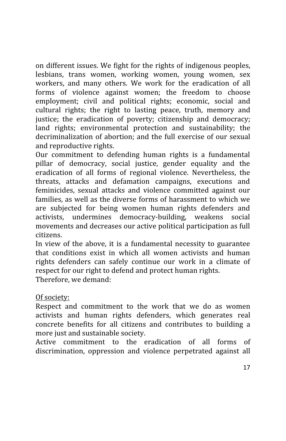on
different
issues.
We
 fight
 for
the
rights
of
indigenous
peoples, lesbians, trans women, working women, young women, sex workers, and many others. We work for the eradication of all forms
 of
 violence
 against
 women;
 the
 freedom
 to
 choose employment; civil and political rights; economic, social and cultural rights; the right to lasting peace, truth, memory and justice; the eradication of poverty; citizenship and democracy; land rights; environmental protection and sustainability; the decriminalization of abortion; and the full exercise of our sexual and
reproductive
rights.

Our commitment to defending human rights is a fundamental pillar
 of
 democracy,
 social
 justice,
 gender
 equality
 and
 the eradication
 of
 all
 forms
 of
 regional
 violence.
 Nevertheless,
 the threats, attacks and defamation campaigns, executions and feminicides, sexual attacks and violence committed against our families, as well as the diverse forms of harassment to which we are
 subjected
 for
 being
 women
 human
 rights
 defenders
 and activists,
 undermines
 democracy‐building,
 weakens
 social movements and decreases our active political participation as full citizens.

In
 view
 of
 the
 above,
it
is
 a
 fundamental
 necessity
 to
 guarantee that conditions exist in which all women activists and human rights defenders can safely continue our work in a climate of respect
for
our
right
to
defend
and
protect
human
rights.

Therefore,
we
demand:

### Of
society:

Respect and commitment to the work that we do as women activists
 and
 human
 rights
 defenders,
 which
 generates
 real concrete
 benefits
 for
 all
 citizens
 and
 contributes
 to
 building
 a more just and sustainable society.

Active commitment to the eradication of all forms of discrimination, oppression and violence perpetrated against all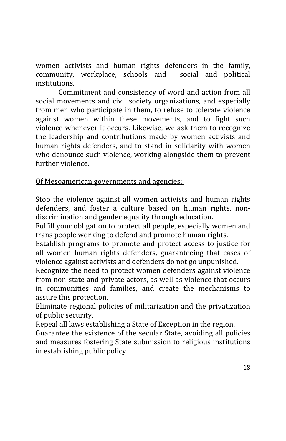women
 activists
 and
 human
 rights
 defenders
 in
 the
 family, community, workplace, schools and social and political institutions.

Commitment
and
consistency
of
word
and
action
 from
all social movements and civil society organizations, and especially from men who participate in them, to refuse to tolerate violence against
 women
 within
 these
 movements,
 and
 to
 fight
 such violence
whenever
it
occurs.
Likewise,
we
ask
 them
 to
recognize the
 leadership
 and
 contributions
 made
 by
 women
 activists
 and human rights defenders, and to stand in solidarity with women who denounce such violence, working alongside them to prevent further
violence.

Of
Mesoamerican
governments
and
agencies:

Stop the violence against all women activists and human rights defenders, and foster a culture based on human rights, nondiscrimination
and
gender
equality
through
education.

Fulfill your obligation to protect all people, especially women and trans
people
working
to
defend
and
promote
human
rights.

Establish programs to promote and protect access to justice for all
 women
 human
 rights
 defenders,
 guaranteeing
 that
 cases
 of violence
against
activists
and
defenders
do
not
go
unpunished.

Recognize the need to protect women defenders against violence from non-state and private actors, as well as violence that occurs in
 communities
 and
 families,
 and
 create
 the
 mechanisms
 to assure
this
protection.

Eliminate
regional
policies
of
militarization
and
the
privatization of
public
security.

Repeal
all
laws
establishing
a
State
of
Exception
in
the
region.

Guarantee
the
existence
of
the
secular
State,
avoiding
all
policies and
measures
 fostering
State
submission
to
religious
institutions in
establishing
public
policy.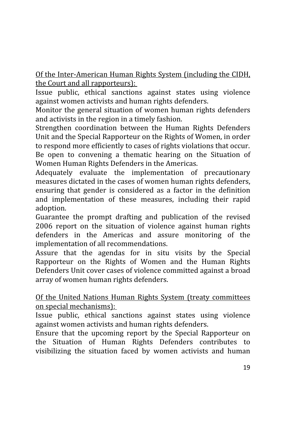Of
the
Inter‐American
Human
Rights
System
(including
the
CIDH, the
Court
and
all
rapporteurs):

Issue public, ethical sanctions against states using violence against
women
activists
and
human
rights
defenders.

Monitor the general situation of women human rights defenders and
activists
in
the
region
in
a
timely
fashion.

Strengthen
 coordination
 between
 the
 Human
 Rights
 Defenders Unit
and
the
Special
Rapporteur
on
the
Rights
of
Women,
in
order to
respond
more
efficiently
to
cases
of
rights
violations
that
occur. Be open to convening a thematic hearing on the Situation of Women
Human
Rights
Defenders
in
the
Americas.

Adequately evaluate the implementation of precautionary measures dictated in the cases of women human rights defenders, ensuring that gender is considered as a factor in the definition and
 implementation
 of
 these
 measures,
 including
 their
 rapid adoption.

Guarantee the prompt drafting and publication of the revised 2006 report on the situation of violence against human rights defenders in the Americas and assure monitoring of the implementation
of
all
recommendations.

Assure that the agendas for in situ visits by the Special Rapporteur
 on
 the
 Rights
 of
 Women
 and
 the
 Human
 Rights Defenders
Unit
cover
cases
of
violence
committed
against
a
broad array
of
women
human
rights
defenders.

Of
 the
 United
Nations
Human
 Rights
 System
 (treaty
 committees on
special
mechanisms):

Issue
 public,
 ethical
 sanctions
 against
 states
 using
 violence against women activists and human rights defenders.

Ensure that the upcoming report by the Special Rapporteur on the
 Situation
 of
 Human
 Rights
 Defenders
 contributes
 to visibilizing
 the
 situation
 faced
 by
 women
 activists
 and
 human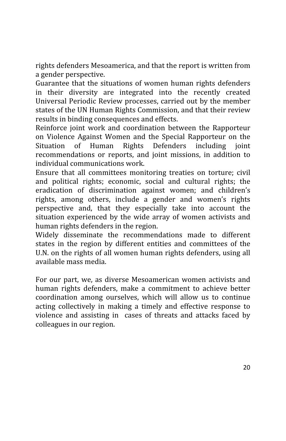rights
defenders
Mesoamerica,
and
that
the
report
is
written
from a
gender
perspective.

Guarantee
 that
 the
 situations
 of
women
 human
 rights
 defenders in
 their
 diversity
 are
 integrated
 into
 the
 recently
 created Universal
Periodic
Review
processes,
carried
out
by
 the
member states
of
the
UN
Human
Rights
Commission,
and
that
their
review results
in
binding
consequences
and
effects.

Reinforce joint work and coordination between the Rapporteur on
 Violence
 Against
 Women
 and
 the
 Special
 Rapporteur
 on
 the Situation of Human Rights Defenders including joint recommendations or reports, and joint missions, in addition to individual
communications
work.

Ensure
 that
 all
 committees
 monitoring
 treaties
 on
 torture;
 civil and
 political
 rights;
 economic,
 social
 and
 cultural
 rights;
 the eradication
 of
 discrimination
 against
 women;
 and
 children's rights, among others, include a gender and women's rights perspective
 and,
 that
 they
 especially
 take
 into
 account
 the situation experienced by the wide array of women activists and human
rights
defenders
in
the
region.

Widely disseminate the recommendations made to different states
 in
 the
 region
 by
 different
 entities
 and
 committees
 of
 the U.N. on the rights of all women human rights defenders, using all available
mass
media.

For our part, we, as diverse Mesoamerican women activists and human
 rights
 defenders,
 make
 a
 commitment
 to
 achieve
 better coordination
 among
 ourselves,
 which
 will
 allow
 us
 to
 continue acting collectively in making a timely and effective response to violence and assisting in cases of threats and attacks faced by colleagues
in
our
region.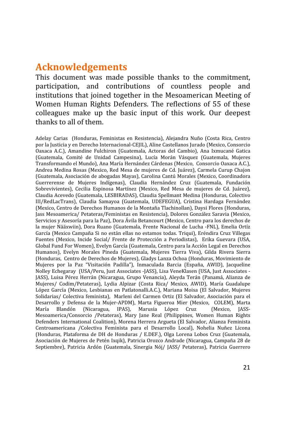## **Acknowledgements**

This
 document
 was
 made
 possible
 thanks
 to
 the
 commitment, participation,
 and
 contributions
 of
 countless
 people
 and institutions
 that
joined
 together
in
 the
Mesoamerican
Meeting
of Women Human Rights Defenders. The reflections of 55 of these colleagues
 make
 up
 the
 basic
 input
 of
 this
 work. Our
 deepest thanks
to
all
of
them.

Adelav Carias (Honduras, Feministas en Resistencia), Alejandra Nuño (Costa Rica, Centro por
la
Justicia
y
en
Derecho
Internacional‐CEJIL),
Aline
Castellanos
Jurado
(Mexico,
Consorcio Oaxaca
 A.C.),
 Amandine
 Fulchiron
 (Guatemala,
 Actoras
 del
 Cambio),
 Ana
 Ixmucané
 Gatica (Guatemala,
 Comité
 de
 Unidad
 Campesina),
 Lucía
 Morán
 Vásquez
 (Guatemala,
 Mujeres Transformando
el
Mundo),
Ana
María
Hernández
Cárdenas
(Mexico,

Consorcio
Oaxaca
A.C.), Andrea
Medina
Rosas
 (Mexico,
Red
Mesa
de
mujeres
de
Cd.
 Juárez),
Carmela
Curup
Chajon (Guatemala,
Asociación
de
abogadas
Mayas),
Carolina
Cantú
Morales
(Mexico,
Coordinadora Guerrerense de Mujeres Indígenas), Claudia Hernández Cruz (Guatemala, Fundación Sobrevivientes), Cecilia Espinosa Martínez (Mexico, Red Mesa de mujeres de Cd. Juárez), Claudia Acevedo (Guatemala, LESBIRADAS), Claudia Spellmant Medina (Honduras, Colectivo III/RedLacTrans), Claudia Samayoa (Guatemala, UDEFEGUA), Cristina Hardaga Fernández (Mexico,
Centro
de
Derechos
Humanos
de
la
Montaña
Tlachinollan),
Daysi
Flores
(Honduras, Jass Mesoamerica/ Petateras/Feministas en Resistencia), Dolores González Saravia (Mexico, Servicios y Asesoría para la Paz), Dora Ávila Betancourt (Mexico, Centro para los derechos de la mujer Nääxwiin), Dora Ruano (Guatemala, Frente Nacional de Lucha -FNL), Emelia Ortíz García (Mexico Campaña Si no están ellas no estamos todas. Triqui), Eréndira Cruz Villegas Fuentes (Mexico, Incide Social/ Frente de Protección a Periodistas), Erika Guevara (USA, Global Fund For Women), Evelyn García (Guatemala, Centro para la Acción Legal en Derechos Humanos),
 Evelyn
 Morales
 Pineda
 (Guatemala,
 Mujeres
 Tierra
 Viva),
 Gilda
 Rivera
 Sierra (Honduras,

Centro
de
Derechos
de
Mujeres),
Gladys
Lanza
Ochoa
(Honduras,
Movimiento
de Mujeres por la Paz "Visitación Padilla"), Inmaculada Barcia (España, AWID), Jacqueline Nolley Echegaray (USA/Peru, Just Associates -JASS), Lisa VeneKlasen (USA, Just Associates -JASS), Luisa Pérez Herrán (Nicaragua, Grupo Venancia), Aleyda Terán (Panamá, Alianza de Mujeres/ Codim/Petateras), Lydia Alpizar (Costa Rica/ Mexico, AWID), María Guadalupe López
 García
 (Mexico,
 Lesbianas
 en
 Patlatonalli.A.C.),
 Mariana
 Moisa
 (El
 Salvador,
 Mujeres Solidarias/ Colectiva feminista), Marleni del Carmen Ortiz (El Salvador, Asociación para el Desarrollo y Defensa de la Mujer-APDM), Marta Figueroa Mier (Mexico, COLEM), Marta María Blandón (Nicaragua, IPAS), Marusia López Cruz (Mexico. IASS-Mesoamerica/Consorcio /Petateras), Mary Jane Real (Philippines, Women Human Rights Defenders International Coalition), Morena Herrera Argueta (El Salvador, Alianza Feminista Centroamericana /Colectiva Feminista para el Desarrollo Local), Nohelia Nuñez Licona (Honduras,
 Plataforma
 de
DH
 de
Honduras
 /
 E.DEF.),
Olga
 Lorena
 Lobos
 Cruz
 (Guatemala, Asociación de Mujeres de Petén Ixqik), Patricia Orozco Andrade (Nicaragua, Campaña 28 de Septiembre), Patricia Ardón (Guatemala, Sinergia Nój/ JASS/ Petateras), Patricia Guerrero